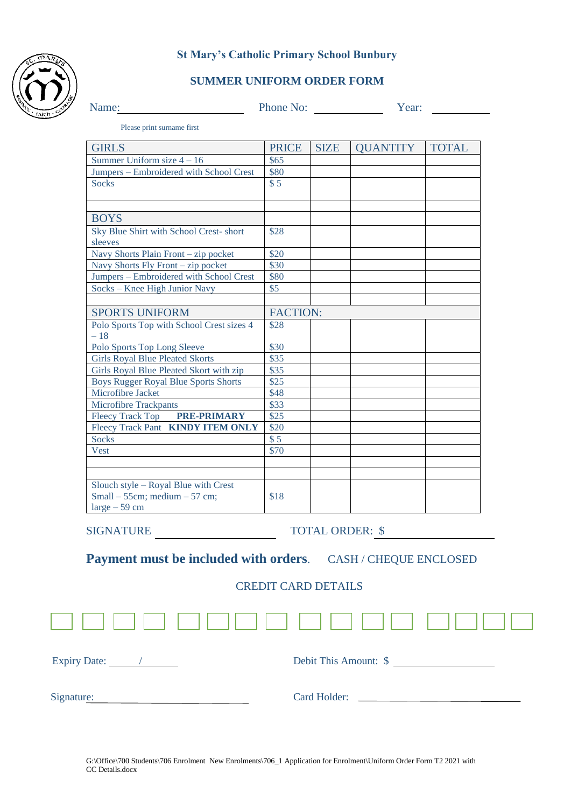

#### **St Mary's Catholic Primary School Bunbury**

## **SUMMER UNIFORM ORDER FORM**

| Name: | Phone No: | Y ear: |
|-------|-----------|--------|

Please print surname first

| <b>GIRLS</b>                                | <b>PRICE</b>    | <b>SIZE</b> | <b>OUANTITY</b> | <b>TOTAL</b> |
|---------------------------------------------|-----------------|-------------|-----------------|--------------|
| Summer Uniform size $4 - 16$                | \$65            |             |                 |              |
| Jumpers - Embroidered with School Crest     | \$80            |             |                 |              |
| <b>Socks</b>                                | \$5             |             |                 |              |
|                                             |                 |             |                 |              |
|                                             |                 |             |                 |              |
| <b>BOYS</b>                                 |                 |             |                 |              |
| Sky Blue Shirt with School Crest-short      | \$28            |             |                 |              |
| sleeves                                     |                 |             |                 |              |
| Navy Shorts Plain Front - zip pocket        | \$20            |             |                 |              |
| Navy Shorts Fly Front - zip pocket          | \$30            |             |                 |              |
| Jumpers - Embroidered with School Crest     | \$80            |             |                 |              |
| Socks – Knee High Junior Navy               | \$5             |             |                 |              |
|                                             |                 |             |                 |              |
| <b>SPORTS UNIFORM</b>                       | <b>FACTION:</b> |             |                 |              |
| Polo Sports Top with School Crest sizes 4   | \$28            |             |                 |              |
| $-18$                                       |                 |             |                 |              |
| Polo Sports Top Long Sleeve                 | \$30            |             |                 |              |
| <b>Girls Royal Blue Pleated Skorts</b>      | \$35            |             |                 |              |
| Girls Royal Blue Pleated Skort with zip     | \$35            |             |                 |              |
| <b>Boys Rugger Royal Blue Sports Shorts</b> | \$25            |             |                 |              |
| Microfibre Jacket                           | \$48            |             |                 |              |
| Microfibre Trackpants                       | \$33            |             |                 |              |
| Fleecy Track Top PRE-PRIMARY                | \$25            |             |                 |              |
| Fleecy Track Pant <b>KINDY ITEM ONLY</b>    | \$20            |             |                 |              |
| <b>Socks</b>                                | \$5             |             |                 |              |
| Vest                                        | \$70            |             |                 |              |
|                                             |                 |             |                 |              |
|                                             |                 |             |                 |              |
| Slouch style - Royal Blue with Crest        |                 |             |                 |              |
| Small $-55$ cm; medium $-57$ cm;            | \$18            |             |                 |              |
| $large - 59$ cm                             |                 |             |                 |              |

SIGNATURE TOTAL ORDER: \$

**Payment must be included with orders**. CASH / CHEQUE ENCLOSED

### CREDIT CARD DETAILS

| Expiry Date: 1 | Debit This Amount: \$ |
|----------------|-----------------------|
| Signature:     | Card Holder:          |